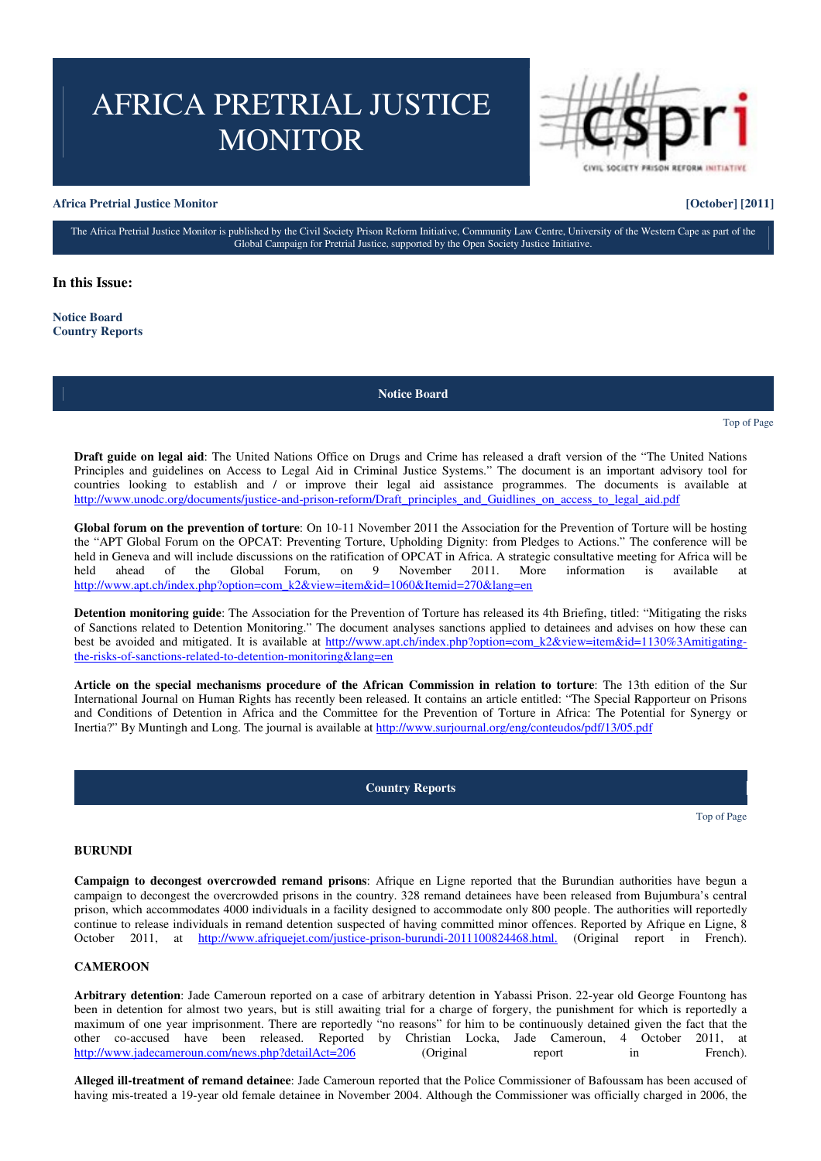# AFRICA PRETRIAL JUSTICE **MONITOR**

# **Africa Pretrial Justice Monitor [October] [2011]**

The Africa Pretrial Justice Monitor is published by the Civil Society Prison Reform Initiative, Community Law Centre, University of the Western Cape as part of the Global Campaign for Pretrial Justice, supported by the Open Society Justice Initiative.

**In this Issue:**

**Notice Board Country Reports**

**Notice Board**

# Top of Page

**Draft guide on legal aid**: The United Nations Office on Drugs and Crime has released a draft version of the "The United Nations Principles and guidelines on Access to Legal Aid in Criminal Justice Systems." The document is an important advisory tool for countries looking to establish and / or improve their legal aid assistance programmes. The documents is available at http://www.unodc.org/documents/justice-and-prison-reform/Draft\_principles\_and\_Guidlines\_on\_access\_to\_legal\_aid.pdf

**Global forum on the prevention of torture**: On 10-11 November 2011 the Association for the Prevention of Torture will be hosting the "APT Global Forum on the OPCAT: Preventing Torture, Upholding Dignity: from Pledges to Actions." The conference will be held in Geneva and will include discussions on the ratification of OPCAT in Africa. A strategic consultative meeting for Africa will be held ahead of the Global Forum, on 9 November 2011. More information is available at http://www.apt.ch/index.php?option=com\_k2&view=item&id=1060&Itemid=270&lang=en

**Detention monitoring guide**: The Association for the Prevention of Torture has released its 4th Briefing, titled: "Mitigating the risks of Sanctions related to Detention Monitoring." The document analyses sanctions applied to detainees and advises on how these can best be avoided and mitigated. It is available at http://www.apt.ch/index.php?option=com\_k2&view=item&id=1130%3Amitigatingthe-risks-of-sanctions-related-to-detention-monitoring&lang=en

**Article on the special mechanisms procedure of the African Commission in relation to torture**: The 13th edition of the Sur International Journal on Human Rights has recently been released. It contains an article entitled: "The Special Rapporteur on Prisons and Conditions of Detention in Africa and the Committee for the Prevention of Torture in Africa: The Potential for Synergy or Inertia?" By Muntingh and Long. The journal is available at http://www.surjournal.org/eng/conteudos/pdf/13/05.pdf

### **Country Reports**

Top of Page

# **BURUNDI**

**Campaign to decongest overcrowded remand prisons**: Afrique en Ligne reported that the Burundian authorities have begun a campaign to decongest the overcrowded prisons in the country. 328 remand detainees have been released from Bujumbura's central prison, which accommodates 4000 individuals in a facility designed to accommodate only 800 people. The authorities will reportedly continue to release individuals in remand detention suspected of having committed minor offences. Reported by Afrique en Ligne, 8 October 2011, at http://www.afriquejet.com/justice-prison-burundi-2011100824468.html. (Original report in French).

#### **CAMEROON**

**Arbitrary detention**: Jade Cameroun reported on a case of arbitrary detention in Yabassi Prison. 22-year old George Fountong has been in detention for almost two years, but is still awaiting trial for a charge of forgery, the punishment for which is reportedly a maximum of one year imprisonment. There are reportedly "no reasons" for him to be continuously detained given the fact that the other co-accused have been released. Reported by Christian Locka, Jade Cameroun, 4 October 2011, at http://www.jadecameroun.com/news.php?detailAct=206 (Original report in French). http://www.jadecameroun.com/news.php?detailAct=206 (Original report in

**Alleged ill-treatment of remand detainee**: Jade Cameroun reported that the Police Commissioner of Bafoussam has been accused of having mis-treated a 19-year old female detainee in November 2004. Although the Commissioner was officially charged in 2006, the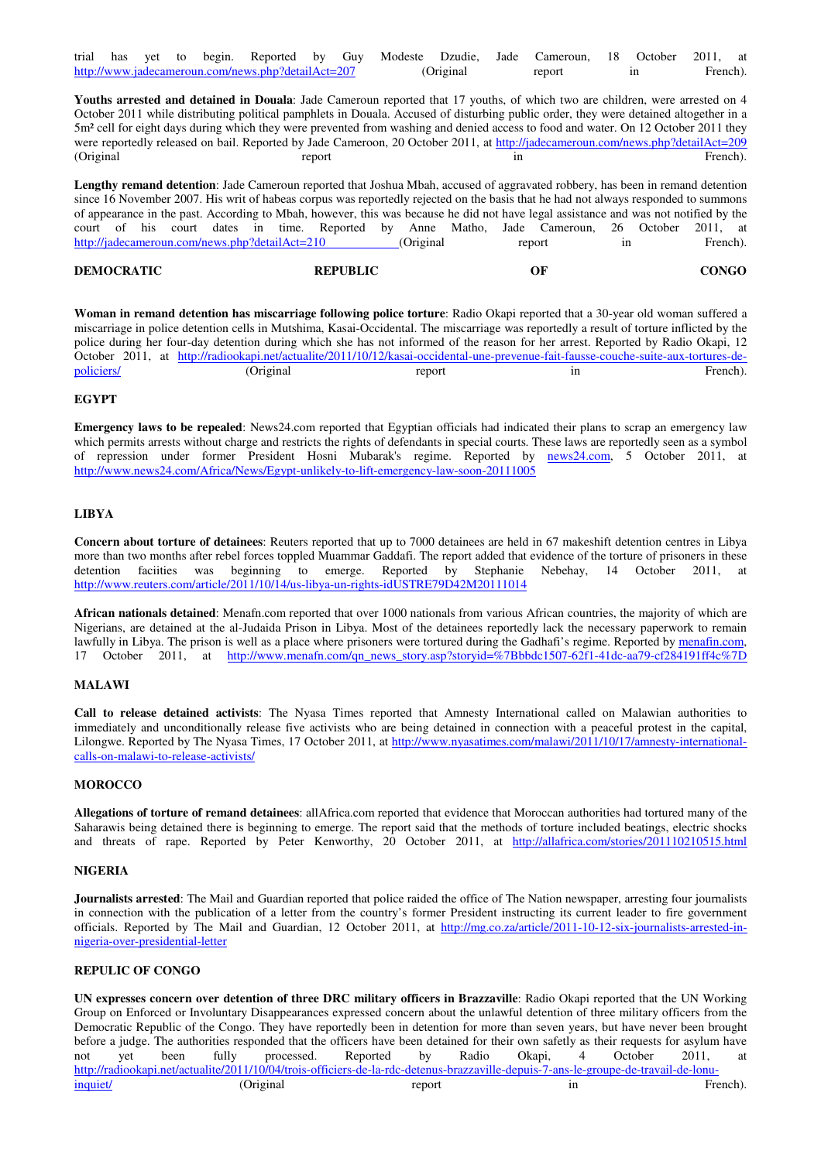|                                                    |  |  |  |  |  |            |  |        |  |  | trial has yet to begin. Reported by Guy Modeste Dzudie, Jade Cameroun, 18 October 2011, at |          |  |  |  |
|----------------------------------------------------|--|--|--|--|--|------------|--|--------|--|--|--------------------------------------------------------------------------------------------|----------|--|--|--|
| http://www.jadecameroun.com/news.php?detailAct=207 |  |  |  |  |  | (Original) |  | report |  |  |                                                                                            | French). |  |  |  |

**Youths arrested and detained in Douala**: Jade Cameroun reported that 17 youths, of which two are children, were arrested on 4 October 2011 while distributing political pamphlets in Douala. Accused of disturbing public order, they were detained altogether in a 5m² cell for eight days during which they were prevented from washing and denied access to food and water. On 12 October 2011 they were reportedly released on bail. Reported by Jade Cameroon, 20 October 2011, at http://jadecameroun.com/news.php?detailAct=209 (Original French). The report of the contract of the contract of the report of the report of the report of the contract of the report of the report of the contract of the report of the contract of the contract of the contr

**Lengthy remand detention**: Jade Cameroun reported that Joshua Mbah, accused of aggravated robbery, has been in remand detention since 16 November 2007. His writ of habeas corpus was reportedly rejected on the basis that he had not always responded to summons of appearance in the past. According to Mbah, however, this was because he did not have legal assistance and was not notified by the court of his court dates in time. Reported by Anne Matho, Jade Cameroun, 26 October 2011, at http://jadecameroun.com/news.php?detailAct=210 (Original report in French).

| <b>DEMOCRATIC</b> | <b>REPUBLIC</b> | ОF | CONGO |
|-------------------|-----------------|----|-------|
|                   |                 |    |       |

**Woman in remand detention has miscarriage following police torture**: Radio Okapi reported that a 30-year old woman suffered a miscarriage in police detention cells in Mutshima, Kasai-Occidental. The miscarriage was reportedly a result of torture inflicted by the police during her four-day detention during which she has not informed of the reason for her arrest. Reported by Radio Okapi, 12 October 2011, at http://radiookapi.net/actualite/2011/10/12/kasai-occidental-une-prevenue-fait-fausse-couche-suite-aux-tortures-depoliciers/ The Content of Content of Content of Tenants and Tenants and Tenants and Tenants (Original Tenants and Tenants and Tenants). The French).

# **EGYPT**

**Emergency laws to be repealed**: News24.com reported that Egyptian officials had indicated their plans to scrap an emergency law which permits arrests without charge and restricts the rights of defendants in special courts. These laws are reportedly seen as a symbol of repression under former President Hosni Mubarak's regime. Reported by news24.com, 5 October 2011, at http://www.news24.com/Africa/News/Egypt-unlikely-to-lift-emergency-law-soon-20111005

# **LIBYA**

**Concern about torture of detainees**: Reuters reported that up to 7000 detainees are held in 67 makeshift detention centres in Libya more than two months after rebel forces toppled Muammar Gaddafi. The report added that evidence of the torture of prisoners in these detention faciities was beginning to emerge. Reported by Stephanie Nebehay, 14 October 2011, at http://www.reuters.com/article/2011/10/14/us-libya-un-rights-idUSTRE79D42M20111014

**African nationals detained**: Menafn.com reported that over 1000 nationals from various African countries, the majority of which are Nigerians, are detained at the al-Judaida Prison in Libya. Most of the detainees reportedly lack the necessary paperwork to remain lawfully in Libya. The prison is well as a place where prisoners were tortured during the Gadhafi's regime. Reported by menafin.com, 17 October 2011, at http://www.menafn.com/qn\_news\_story.asp?storyid=%7Bbbdc1507-62f1-41dc-aa79-cf284191ff4c%7D

# **MALAWI**

**Call to release detained activists**: The Nyasa Times reported that Amnesty International called on Malawian authorities to immediately and unconditionally release five activists who are being detained in connection with a peaceful protest in the capital, Lilongwe. Reported by The Nyasa Times, 17 October 2011, at http://www.nyasatimes.com/malawi/2011/10/17/amnesty-internationalcalls-on-malawi-to-release-activists/

#### **MOROCCO**

**Allegations of torture of remand detainees**: allAfrica.com reported that evidence that Moroccan authorities had tortured many of the Saharawis being detained there is beginning to emerge. The report said that the methods of torture included beatings, electric shocks and threats of rape. Reported by Peter Kenworthy, 20 October 2011, at http://allafrica.com/stories/201110210515.html

### **NIGERIA**

**Journalists arrested**: The Mail and Guardian reported that police raided the office of The Nation newspaper, arresting four journalists in connection with the publication of a letter from the country's former President instructing its current leader to fire government officials. Reported by The Mail and Guardian, 12 October 2011, at http://mg.co.za/article/2011-10-12-six-journalists-arrested-innigeria-over-presidential-letter

# **REPULIC OF CONGO**

**UN expresses concern over detention of three DRC military officers in Brazzaville**: Radio Okapi reported that the UN Working Group on Enforced or Involuntary Disappearances expressed concern about the unlawful detention of three military officers from the Democratic Republic of the Congo. They have reportedly been in detention for more than seven years, but have never been brought before a judge. The authorities responded that the officers have been detained for their own safetly as their requests for asylum have not yet been fully processed. Reported by Radio Okapi, 4 October 2011, at not yet been fully processed. Reported by Radio Okapi, 4 October 2011, at http://radiookapi.net/actualite/2011/10/04/trois-officiers-de-la-rdc-detenus-brazzaville-depuis-7-ans-le-groupe-de-travail-de-lonuinquiet/ in the contract of the contract of the contract of the contract of the contract of the contract of the French).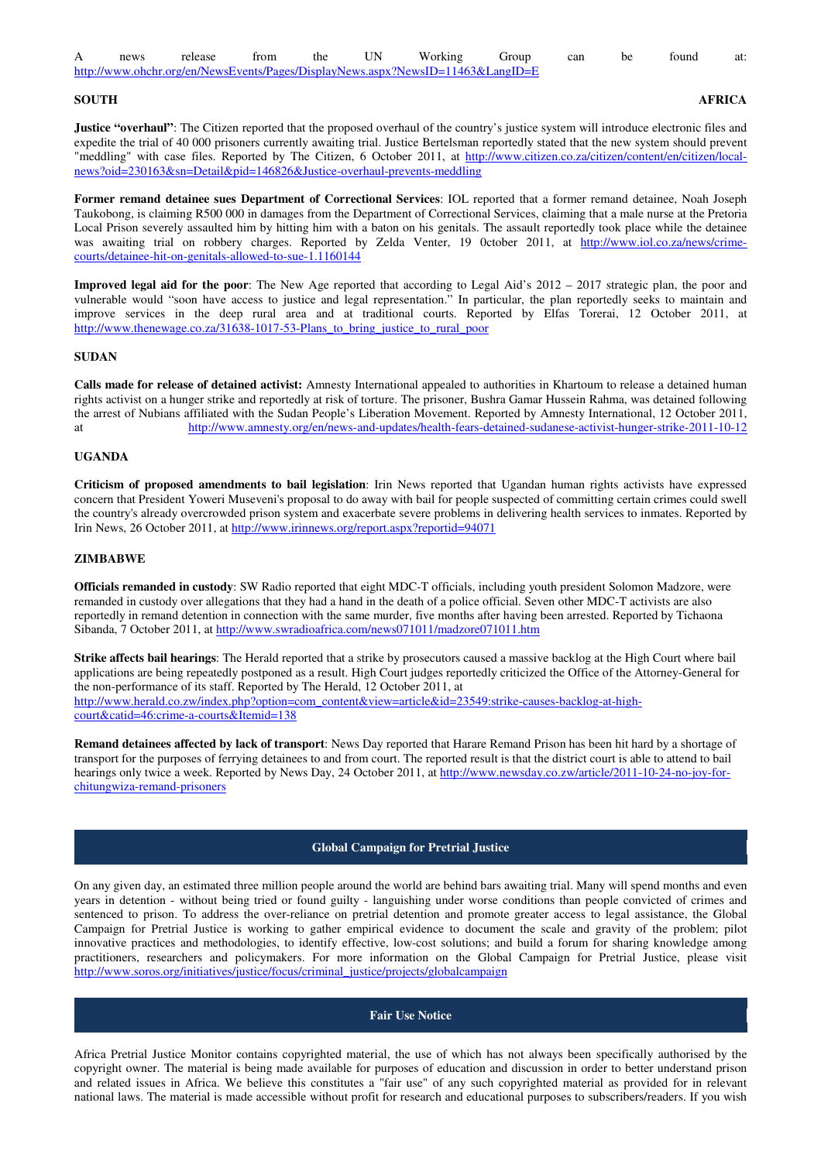| news | release                                                                         | from | the |  | Working | Group | can | be | found | at: |
|------|---------------------------------------------------------------------------------|------|-----|--|---------|-------|-----|----|-------|-----|
|      | http://www.ohchr.org/en/NewsEvents/Pages/DisplayNews.aspx?NewsID=11463&LangID=E |      |     |  |         |       |     |    |       |     |

**SOUTH AFRICA** 

**Justice "overhaul"**: The Citizen reported that the proposed overhaul of the country's justice system will introduce electronic files and expedite the trial of 40 000 prisoners currently awaiting trial. Justice Bertelsman reportedly stated that the new system should prevent "meddling" with case files. Reported by The Citizen, 6 October 2011, at http://www.citizen.co.za/citizen/content/en/citizen/localnews?oid=230163&sn=Detail&pid=146826&Justice-overhaul-prevents-meddling

**Former remand detainee sues Department of Correctional Services**: IOL reported that a former remand detainee, Noah Joseph Taukobong, is claiming R500 000 in damages from the Department of Correctional Services, claiming that a male nurse at the Pretoria Local Prison severely assaulted him by hitting him with a baton on his genitals. The assault reportedly took place while the detainee was awaiting trial on robbery charges. Reported by Zelda Venter, 19 0ctober 2011, at http://www.iol.co.za/news/crimecourts/detainee-hit-on-genitals-allowed-to-sue-1.1160144

**Improved legal aid for the poor**: The New Age reported that according to Legal Aid's 2012 – 2017 strategic plan, the poor and vulnerable would "soon have access to justice and legal representation." In particular, the plan reportedly seeks to maintain and improve services in the deep rural area and at traditional courts. Reported by Elfas Torerai, 12 October 2011, at http://www.thenewage.co.za/31638-1017-53-Plans\_to\_bring\_justice\_to\_rural\_poor

# **SUDAN**

**Calls made for release of detained activist:** Amnesty International appealed to authorities in Khartoum to release a detained human rights activist on a hunger strike and reportedly at risk of torture. The prisoner, Bushra Gamar Hussein Rahma, was detained following the arrest of Nubians affiliated with the Sudan People's Liberation Movement. Reported by Amnesty International, 12 October 2011, at http://www.amnesty.org/en/news-and-updates/health-fears-detained-sudanese-activist-hunger-strike-2011-10-12

#### **UGANDA**

**Criticism of proposed amendments to bail legislation**: Irin News reported that Ugandan human rights activists have expressed concern that President Yoweri Museveni's proposal to do away with bail for people suspected of committing certain crimes could swell the country's already overcrowded prison system and exacerbate severe problems in delivering health services to inmates. Reported by Irin News, 26 October 2011, at http://www.irinnews.org/report.aspx?reportid=94071

# **ZIMBABWE**

**Officials remanded in custody**: SW Radio reported that eight MDC-T officials, including youth president Solomon Madzore, were remanded in custody over allegations that they had a hand in the death of a police official. Seven other MDC-T activists are also reportedly in remand detention in connection with the same murder, five months after having been arrested. Reported by Tichaona Sibanda, 7 October 2011, at http://www.swradioafrica.com/news071011/madzore071011.htm

**Strike affects bail hearings**: The Herald reported that a strike by prosecutors caused a massive backlog at the High Court where bail applications are being repeatedly postponed as a result. High Court judges reportedly criticized the Office of the Attorney-General for the non-performance of its staff. Reported by The Herald, 12 October 2011, at http://www.herald.co.zw/index.php?option=com\_content&view=article&id=23549:strike-causes-backlog-at-highcourt&catid=46:crime-a-courts&Itemid=138

**Remand detainees affected by lack of transport**: News Day reported that Harare Remand Prison has been hit hard by a shortage of transport for the purposes of ferrying detainees to and from court. The reported result is that the district court is able to attend to bail hearings only twice a week. Reported by News Day, 24 October 2011, at http://www.newsday.co.zw/article/2011-10-24-no-joy-forchitungwiza-remand-prisoners

# **Global Campaign for Pretrial Justice**

On any given day, an estimated three million people around the world are behind bars awaiting trial. Many will spend months and even years in detention - without being tried or found guilty - languishing under worse conditions than people convicted of crimes and sentenced to prison. To address the over-reliance on pretrial detention and promote greater access to legal assistance, the Global Campaign for Pretrial Justice is working to gather empirical evidence to document the scale and gravity of the problem; pilot innovative practices and methodologies, to identify effective, low-cost solutions; and build a forum for sharing knowledge among practitioners, researchers and policymakers. For more information on the Global Campaign for Pretrial Justice, please visit http://www.soros.org/initiatives/justice/focus/criminal\_justice/projects/globalcampaign

# **Fair Use Notice**

Africa Pretrial Justice Monitor contains copyrighted material, the use of which has not always been specifically authorised by the copyright owner. The material is being made available for purposes of education and discussion in order to better understand prison and related issues in Africa. We believe this constitutes a "fair use" of any such copyrighted material as provided for in relevant national laws. The material is made accessible without profit for research and educational purposes to subscribers/readers. If you wish